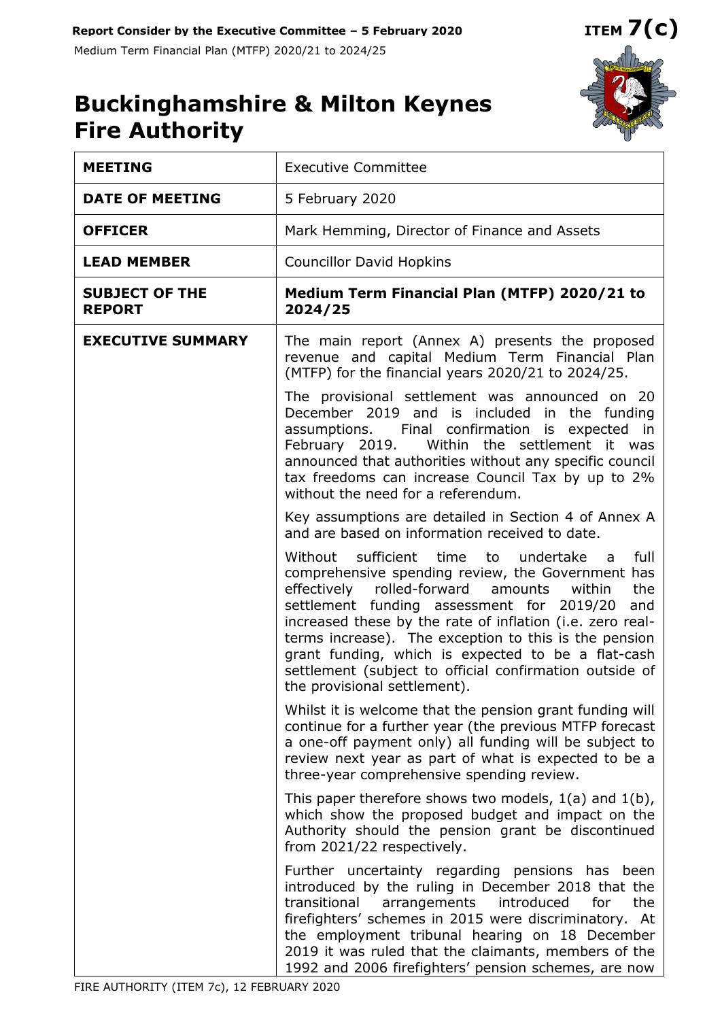

# **Buckinghamshire & Milton Keynes Fire Authority**

| <b>MEETING</b>                         | <b>Executive Committee</b>                                                                                                                                                                                                                                                                                                                                                                                                                                                                             |  |  |  |
|----------------------------------------|--------------------------------------------------------------------------------------------------------------------------------------------------------------------------------------------------------------------------------------------------------------------------------------------------------------------------------------------------------------------------------------------------------------------------------------------------------------------------------------------------------|--|--|--|
| <b>DATE OF MEETING</b>                 | 5 February 2020                                                                                                                                                                                                                                                                                                                                                                                                                                                                                        |  |  |  |
| <b>OFFICER</b>                         | Mark Hemming, Director of Finance and Assets                                                                                                                                                                                                                                                                                                                                                                                                                                                           |  |  |  |
| <b>LEAD MEMBER</b>                     | <b>Councillor David Hopkins</b>                                                                                                                                                                                                                                                                                                                                                                                                                                                                        |  |  |  |
| <b>SUBJECT OF THE</b><br><b>REPORT</b> | Medium Term Financial Plan (MTFP) 2020/21 to<br>2024/25                                                                                                                                                                                                                                                                                                                                                                                                                                                |  |  |  |
| <b>EXECUTIVE SUMMARY</b>               | The main report (Annex A) presents the proposed<br>revenue and capital Medium Term Financial Plan<br>(MTFP) for the financial years 2020/21 to 2024/25.                                                                                                                                                                                                                                                                                                                                                |  |  |  |
|                                        | The provisional settlement was announced on 20<br>December 2019 and is included in the funding<br>assumptions. Final confirmation is expected in<br>February 2019. Within the settlement it was<br>announced that authorities without any specific council<br>tax freedoms can increase Council Tax by up to 2%<br>without the need for a referendum.                                                                                                                                                  |  |  |  |
|                                        | Key assumptions are detailed in Section 4 of Annex A<br>and are based on information received to date.                                                                                                                                                                                                                                                                                                                                                                                                 |  |  |  |
|                                        | Without sufficient time<br>undertake<br>full<br>to<br>a a<br>comprehensive spending review, the Government has<br>effectively<br>rolled-forward<br>amounts<br>the<br>within<br>settlement funding assessment for 2019/20<br>and<br>increased these by the rate of inflation (i.e. zero real-<br>terms increase). The exception to this is the pension<br>grant funding, which is expected to be a flat-cash<br>settlement (subject to official confirmation outside of<br>the provisional settlement). |  |  |  |
|                                        | Whilst it is welcome that the pension grant funding will<br>continue for a further year (the previous MTFP forecast<br>a one-off payment only) all funding will be subject to<br>review next year as part of what is expected to be a<br>three-year comprehensive spending review.                                                                                                                                                                                                                     |  |  |  |
|                                        | This paper therefore shows two models, $1(a)$ and $1(b)$ ,<br>which show the proposed budget and impact on the<br>Authority should the pension grant be discontinued<br>from 2021/22 respectively.                                                                                                                                                                                                                                                                                                     |  |  |  |
|                                        | Further uncertainty regarding pensions has been<br>introduced by the ruling in December 2018 that the<br>transitional<br>arrangements<br>introduced<br>for<br>the<br>firefighters' schemes in 2015 were discriminatory. At<br>the employment tribunal hearing on 18 December<br>2019 it was ruled that the claimants, members of the<br>1992 and 2006 firefighters' pension schemes, are now                                                                                                           |  |  |  |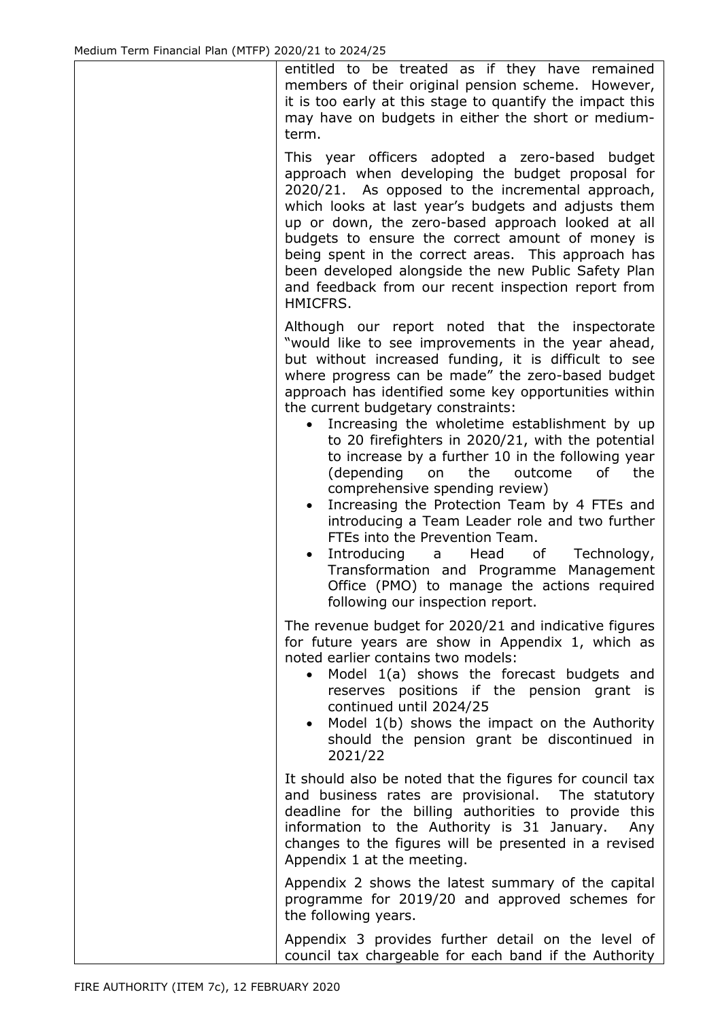entitled to be treated as if they have remained members of their original pension scheme. However, it is too early at this stage to quantify the impact this may have on budgets in either the short or mediumterm.

This year officers adopted a zero-based budget approach when developing the budget proposal for 2020/21. As opposed to the incremental approach, which looks at last year's budgets and adjusts them up or down, the zero-based approach looked at all budgets to ensure the correct amount of money is being spent in the correct areas. This approach has been developed alongside the new Public Safety Plan and feedback from our recent inspection report from HMICFRS.

Although our report noted that the inspectorate "would like to see improvements in the year ahead, but without increased funding, it is difficult to see where progress can be made" the zero-based budget approach has identified some key opportunities within the current budgetary constraints:

- Increasing the wholetime establishment by up to 20 firefighters in 2020/21, with the potential to increase by a further 10 in the following year (depending on the outcome of the comprehensive spending review)
- Increasing the Protection Team by 4 FTEs and introducing a Team Leader role and two further FTEs into the Prevention Team.
- Introducing a Head of Technology, Transformation and Programme Management Office (PMO) to manage the actions required following our inspection report.

The revenue budget for 2020/21 and indicative figures for future years are show in Appendix 1, which as noted earlier contains two models:

- Model 1(a) shows the forecast budgets and reserves positions if the pension grant is continued until 2024/25
- Model 1(b) shows the impact on the Authority should the pension grant be discontinued in 2021/22

It should also be noted that the figures for council tax and business rates are provisional. The statutory deadline for the billing authorities to provide this information to the Authority is 31 January. Any changes to the figures will be presented in a revised Appendix 1 at the meeting.

Appendix 2 shows the latest summary of the capital programme for 2019/20 and approved schemes for the following years.

Appendix 3 provides further detail on the level of council tax chargeable for each band if the Authority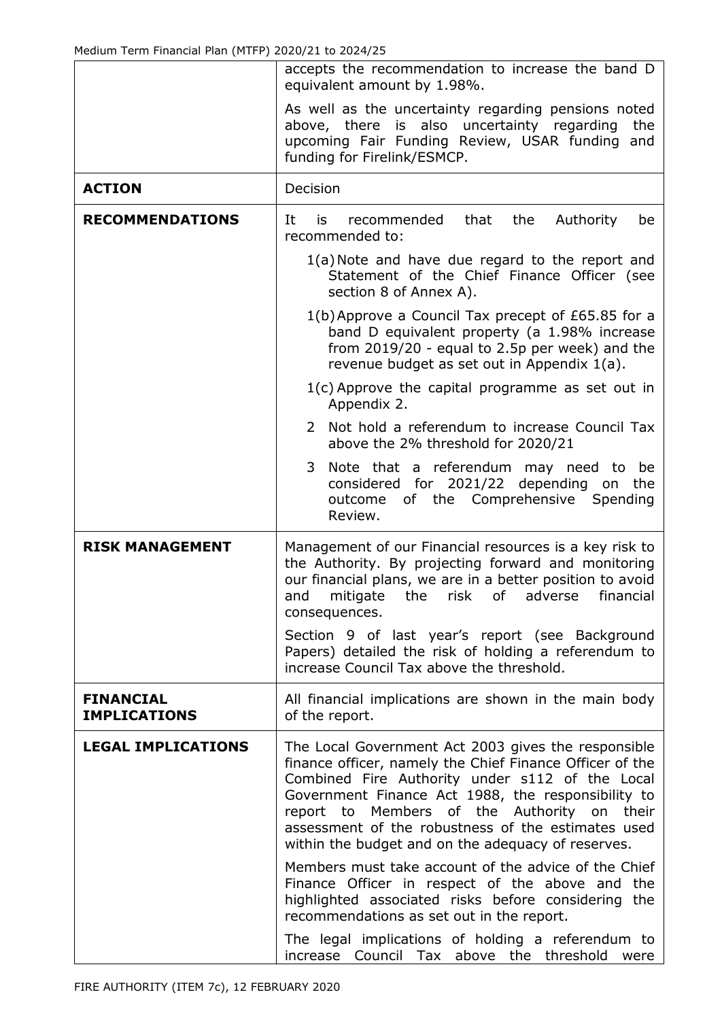|                                         | accepts the recommendation to increase the band D<br>equivalent amount by 1.98%.                                                                                                                                                                                                                                                                                                             |  |  |  |  |  |  |
|-----------------------------------------|----------------------------------------------------------------------------------------------------------------------------------------------------------------------------------------------------------------------------------------------------------------------------------------------------------------------------------------------------------------------------------------------|--|--|--|--|--|--|
|                                         | As well as the uncertainty regarding pensions noted<br>above, there is also uncertainty regarding<br>the<br>upcoming Fair Funding Review, USAR funding and<br>funding for Firelink/ESMCP.                                                                                                                                                                                                    |  |  |  |  |  |  |
| <b>ACTION</b>                           | Decision                                                                                                                                                                                                                                                                                                                                                                                     |  |  |  |  |  |  |
| <b>RECOMMENDATIONS</b>                  | It<br>recommended<br>that<br>the<br>Authority<br>is<br>be<br>recommended to:                                                                                                                                                                                                                                                                                                                 |  |  |  |  |  |  |
|                                         | 1(a) Note and have due regard to the report and<br>Statement of the Chief Finance Officer (see<br>section 8 of Annex A).                                                                                                                                                                                                                                                                     |  |  |  |  |  |  |
|                                         | 1(b) Approve a Council Tax precept of £65.85 for a<br>band D equivalent property (a 1.98% increase<br>from $2019/20$ - equal to 2.5p per week) and the<br>revenue budget as set out in Appendix 1(a).                                                                                                                                                                                        |  |  |  |  |  |  |
|                                         | $1(c)$ Approve the capital programme as set out in<br>Appendix 2.                                                                                                                                                                                                                                                                                                                            |  |  |  |  |  |  |
|                                         | 2 Not hold a referendum to increase Council Tax<br>above the 2% threshold for 2020/21                                                                                                                                                                                                                                                                                                        |  |  |  |  |  |  |
|                                         | Note that a referendum may need to be<br>3<br>considered for 2021/22 depending on<br>the<br>Comprehensive<br>Spending<br>outcome<br>of the<br>Review.                                                                                                                                                                                                                                        |  |  |  |  |  |  |
| <b>RISK MANAGEMENT</b>                  | Management of our Financial resources is a key risk to<br>the Authority. By projecting forward and monitoring<br>our financial plans, we are in a better position to avoid<br>mitigate<br>risk<br>of<br>financial<br>and<br>the<br>adverse<br>consequences.                                                                                                                                  |  |  |  |  |  |  |
|                                         | Section 9 of last year's report (see Background<br>Papers) detailed the risk of holding a referendum to<br>increase Council Tax above the threshold.                                                                                                                                                                                                                                         |  |  |  |  |  |  |
| <b>FINANCIAL</b><br><b>IMPLICATIONS</b> | All financial implications are shown in the main body<br>of the report.                                                                                                                                                                                                                                                                                                                      |  |  |  |  |  |  |
| <b>LEGAL IMPLICATIONS</b>               | The Local Government Act 2003 gives the responsible<br>finance officer, namely the Chief Finance Officer of the<br>Combined Fire Authority under s112 of the Local<br>Government Finance Act 1988, the responsibility to<br>Members of the Authority<br>report to<br>on<br>their<br>assessment of the robustness of the estimates used<br>within the budget and on the adequacy of reserves. |  |  |  |  |  |  |
|                                         | Members must take account of the advice of the Chief<br>Finance Officer in respect of the above and the<br>highlighted associated risks before considering the<br>recommendations as set out in the report.                                                                                                                                                                                  |  |  |  |  |  |  |
|                                         | The legal implications of holding a referendum to<br>Council Tax above the threshold<br>increase<br>were                                                                                                                                                                                                                                                                                     |  |  |  |  |  |  |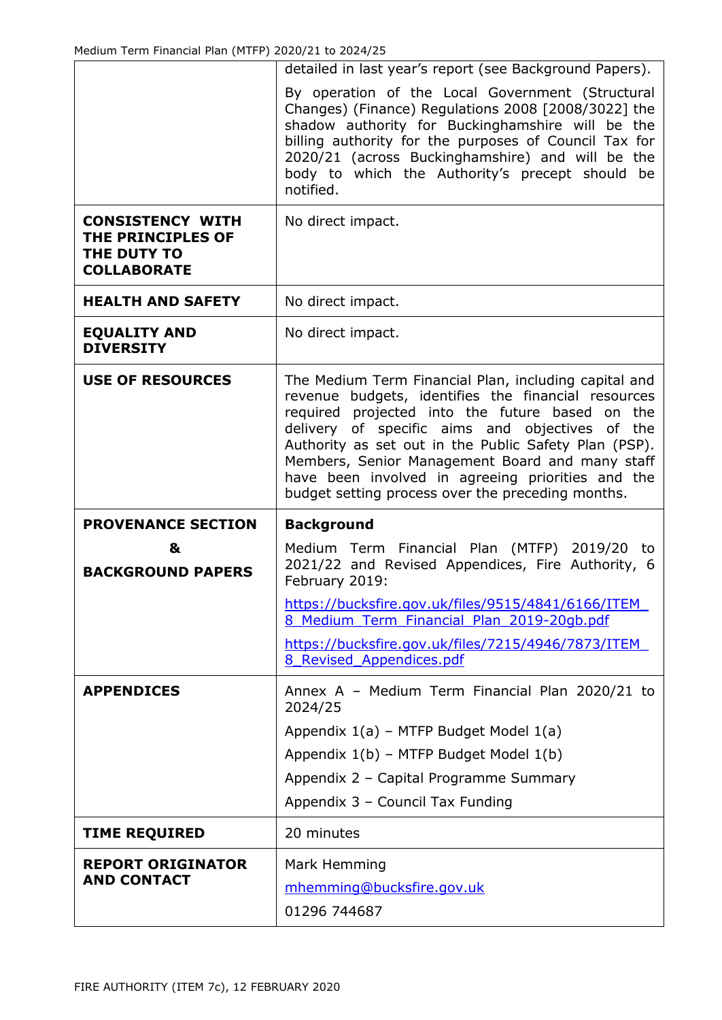|                                                                                   | detailed in last year's report (see Background Papers).                                                                                                                                                                                                                                                                                                                             |
|-----------------------------------------------------------------------------------|-------------------------------------------------------------------------------------------------------------------------------------------------------------------------------------------------------------------------------------------------------------------------------------------------------------------------------------------------------------------------------------|
|                                                                                   | By operation of the Local Government (Structural<br>Changes) (Finance) Regulations 2008 [2008/3022] the<br>shadow authority for Buckinghamshire will be the<br>billing authority for the purposes of Council Tax for<br>2020/21 (across Buckinghamshire) and will be the<br>body to which the Authority's precept should be<br>notified.                                            |
| <b>CONSISTENCY WITH</b><br>THE PRINCIPLES OF<br>THE DUTY TO<br><b>COLLABORATE</b> | No direct impact.                                                                                                                                                                                                                                                                                                                                                                   |
| <b>HEALTH AND SAFETY</b>                                                          | No direct impact.                                                                                                                                                                                                                                                                                                                                                                   |
| <b>EQUALITY AND</b><br><b>DIVERSITY</b>                                           | No direct impact.                                                                                                                                                                                                                                                                                                                                                                   |
| <b>USE OF RESOURCES</b>                                                           | The Medium Term Financial Plan, including capital and<br>revenue budgets, identifies the financial resources<br>required projected into the future based on the<br>delivery of specific aims and objectives of the<br>Authority as set out in the Public Safety Plan (PSP).<br>Members, Senior Management Board and many staff<br>have been involved in agreeing priorities and the |
|                                                                                   | budget setting process over the preceding months.                                                                                                                                                                                                                                                                                                                                   |
| <b>PROVENANCE SECTION</b>                                                         | <b>Background</b>                                                                                                                                                                                                                                                                                                                                                                   |
| &<br><b>BACKGROUND PAPERS</b>                                                     | Medium Term Financial Plan (MTFP) 2019/20 to<br>2021/22 and Revised Appendices, Fire Authority, 6<br>February 2019:                                                                                                                                                                                                                                                                 |
|                                                                                   | https://bucksfire.gov.uk/files/9515/4841/6166/ITEM<br>8 Medium Term Financial Plan 2019-20gb.pdf                                                                                                                                                                                                                                                                                    |
|                                                                                   | https://bucksfire.gov.uk/files/7215/4946/7873/ITEM<br>8 Revised Appendices.pdf                                                                                                                                                                                                                                                                                                      |
| <b>APPENDICES</b>                                                                 | Annex A - Medium Term Financial Plan 2020/21 to<br>2024/25                                                                                                                                                                                                                                                                                                                          |
|                                                                                   | Appendix 1(a) - MTFP Budget Model 1(a)                                                                                                                                                                                                                                                                                                                                              |
|                                                                                   | Appendix 1(b) - MTFP Budget Model 1(b)                                                                                                                                                                                                                                                                                                                                              |
|                                                                                   | Appendix 2 - Capital Programme Summary                                                                                                                                                                                                                                                                                                                                              |
|                                                                                   | Appendix 3 - Council Tax Funding                                                                                                                                                                                                                                                                                                                                                    |
| <b>TIME REQUIRED</b>                                                              | 20 minutes                                                                                                                                                                                                                                                                                                                                                                          |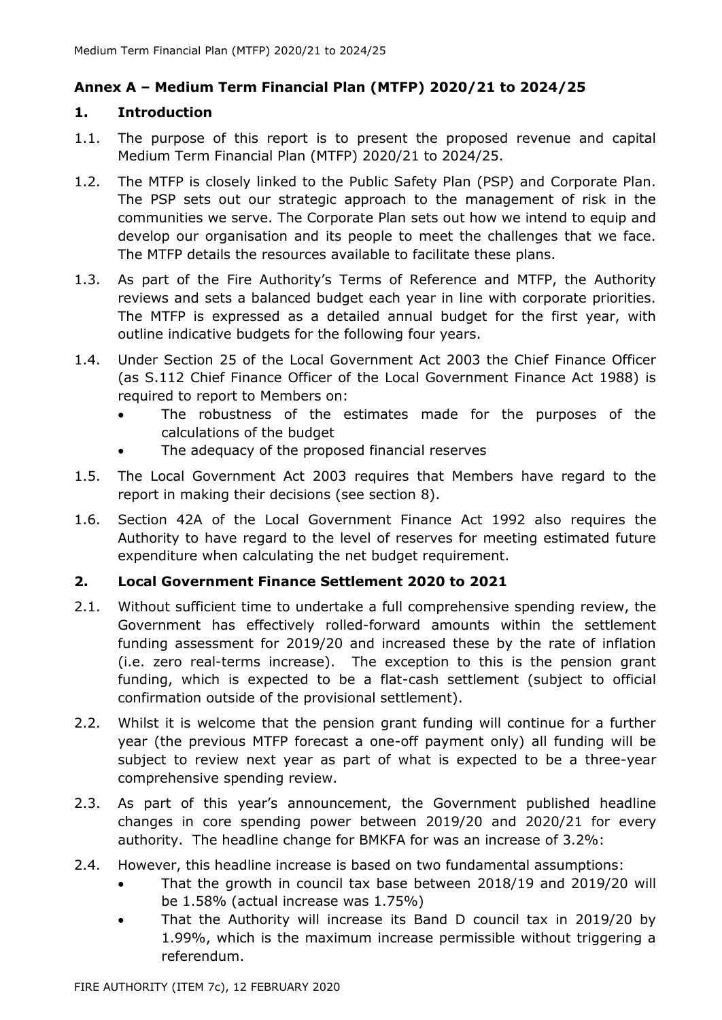# **Annex A – Medium Term Financial Plan (MTFP) 2020/21 to 2024/25**

#### **1. Introduction**

- 1.1. The purpose of this report is to present the proposed revenue and capital Medium Term Financial Plan (MTFP) 2020/21 to 2024/25.
- 1.2. The MTFP is closely linked to the Public Safety Plan (PSP) and Corporate Plan. The PSP sets out our strategic approach to the management of risk in the communities we serve. The Corporate Plan sets out how we intend to equip and develop our organisation and its people to meet the challenges that we face. The MTFP details the resources available to facilitate these plans.
- 1.3. As part of the Fire Authority's Terms of Reference and MTFP, the Authority reviews and sets a balanced budget each year in line with corporate priorities. The MTFP is expressed as a detailed annual budget for the first year, with outline indicative budgets for the following four years.
- 1.4. Under Section 25 of the Local Government Act 2003 the Chief Finance Officer (as S.112 Chief Finance Officer of the Local Government Finance Act 1988) is required to report to Members on:
	- The robustness of the estimates made for the purposes of the calculations of the budget
	- The adequacy of the proposed financial reserves
- 1.5. The Local Government Act 2003 requires that Members have regard to the report in making their decisions (see section 8).
- 1.6. Section 42A of the Local Government Finance Act 1992 also requires the Authority to have regard to the level of reserves for meeting estimated future expenditure when calculating the net budget requirement.

# **2. Local Government Finance Settlement 2020 to 2021**

- 2.1. Without sufficient time to undertake a full comprehensive spending review, the Government has effectively rolled-forward amounts within the settlement funding assessment for 2019/20 and increased these by the rate of inflation (i.e. zero real-terms increase). The exception to this is the pension grant funding, which is expected to be a flat-cash settlement (subject to official confirmation outside of the provisional settlement).
- 2.2. Whilst it is welcome that the pension grant funding will continue for a further year (the previous MTFP forecast a one-off payment only) all funding will be subject to review next year as part of what is expected to be a three-year comprehensive spending review.
- 2.3. As part of this year's announcement, the Government published headline changes in core spending power between 2019/20 and 2020/21 for every authority. The headline change for BMKFA for was an increase of 3.2%:
- 2.4. However, this headline increase is based on two fundamental assumptions:
	- That the growth in council tax base between 2018/19 and 2019/20 will be 1.58% (actual increase was 1.75%)
	- That the Authority will increase its Band D council tax in 2019/20 by 1.99%, which is the maximum increase permissible without triggering a referendum.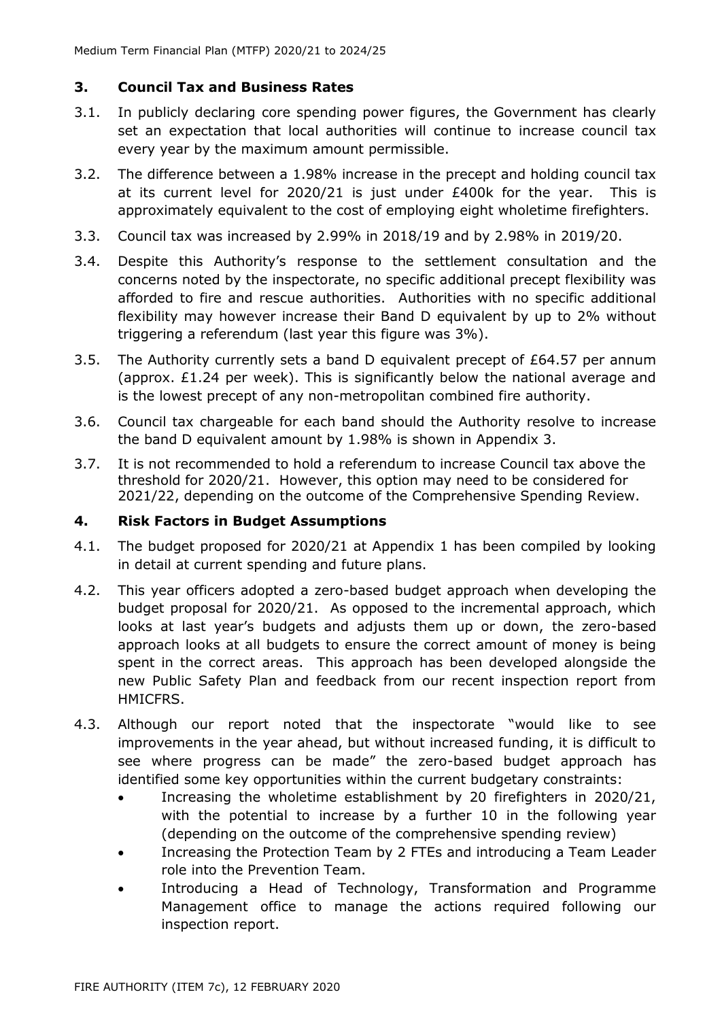# **3. Council Tax and Business Rates**

- 3.1. In publicly declaring core spending power figures, the Government has clearly set an expectation that local authorities will continue to increase council tax every year by the maximum amount permissible.
- 3.2. The difference between a 1.98% increase in the precept and holding council tax at its current level for 2020/21 is just under £400k for the year. This is approximately equivalent to the cost of employing eight wholetime firefighters.
- 3.3. Council tax was increased by 2.99% in 2018/19 and by 2.98% in 2019/20.
- 3.4. Despite this Authority's response to the settlement consultation and the concerns noted by the inspectorate, no specific additional precept flexibility was afforded to fire and rescue authorities. Authorities with no specific additional flexibility may however increase their Band D equivalent by up to 2% without triggering a referendum (last year this figure was 3%).
- 3.5. The Authority currently sets a band D equivalent precept of £64.57 per annum (approx. £1.24 per week). This is significantly below the national average and is the lowest precept of any non-metropolitan combined fire authority.
- 3.6. Council tax chargeable for each band should the Authority resolve to increase the band D equivalent amount by 1.98% is shown in Appendix 3.
- 3.7. It is not recommended to hold a referendum to increase Council tax above the threshold for 2020/21. However, this option may need to be considered for 2021/22, depending on the outcome of the Comprehensive Spending Review.

### **4. Risk Factors in Budget Assumptions**

- 4.1. The budget proposed for 2020/21 at Appendix 1 has been compiled by looking in detail at current spending and future plans.
- 4.2. This year officers adopted a zero-based budget approach when developing the budget proposal for 2020/21. As opposed to the incremental approach, which looks at last year's budgets and adjusts them up or down, the zero-based approach looks at all budgets to ensure the correct amount of money is being spent in the correct areas. This approach has been developed alongside the new Public Safety Plan and feedback from our recent inspection report from HMICFRS.
- 4.3. Although our report noted that the inspectorate "would like to see improvements in the year ahead, but without increased funding, it is difficult to see where progress can be made" the zero-based budget approach has identified some key opportunities within the current budgetary constraints:
	- Increasing the wholetime establishment by 20 firefighters in 2020/21, with the potential to increase by a further 10 in the following year (depending on the outcome of the comprehensive spending review)
	- Increasing the Protection Team by 2 FTEs and introducing a Team Leader role into the Prevention Team.
	- Introducing a Head of Technology, Transformation and Programme Management office to manage the actions required following our inspection report.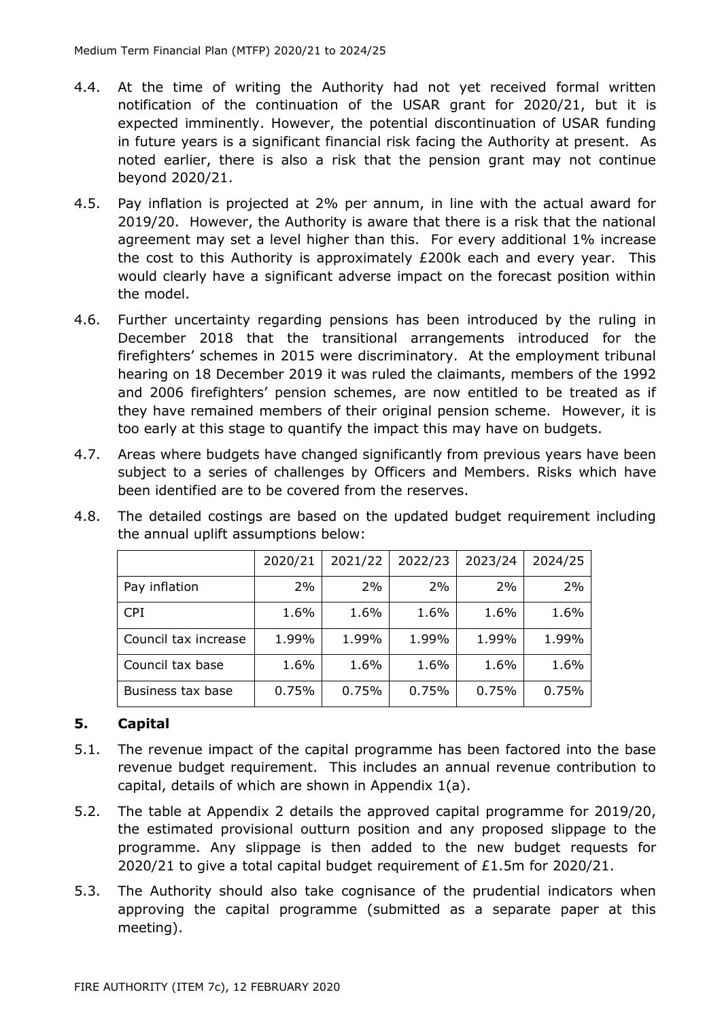- 4.4. At the time of writing the Authority had not yet received formal written notification of the continuation of the USAR grant for 2020/21, but it is expected imminently. However, the potential discontinuation of USAR funding in future years is a significant financial risk facing the Authority at present. As noted earlier, there is also a risk that the pension grant may not continue beyond 2020/21.
- 4.5. Pay inflation is projected at 2% per annum, in line with the actual award for 2019/20. However, the Authority is aware that there is a risk that the national agreement may set a level higher than this. For every additional 1% increase the cost to this Authority is approximately £200k each and every year. This would clearly have a significant adverse impact on the forecast position within the model.
- 4.6. Further uncertainty regarding pensions has been introduced by the ruling in December 2018 that the transitional arrangements introduced for the firefighters' schemes in 2015 were discriminatory. At the employment tribunal hearing on 18 December 2019 it was ruled the claimants, members of the 1992 and 2006 firefighters' pension schemes, are now entitled to be treated as if they have remained members of their original pension scheme. However, it is too early at this stage to quantify the impact this may have on budgets.
- 4.7. Areas where budgets have changed significantly from previous years have been subject to a series of challenges by Officers and Members. Risks which have been identified are to be covered from the reserves.

|                      | 2020/21 | 2021/22 | 2022/23 | 2023/24 | 2024/25 |
|----------------------|---------|---------|---------|---------|---------|
| Pay inflation        | 2%      | 2%      | 2%      | 2%      | 2%      |
| <b>CPI</b>           | 1.6%    | 1.6%    | 1.6%    | 1.6%    | 1.6%    |
| Council tax increase | 1.99%   | 1.99%   | 1.99%   | 1.99%   | 1.99%   |
| Council tax base     | 1.6%    | 1.6%    | 1.6%    | 1.6%    | 1.6%    |
| Business tax base    | 0.75%   | 0.75%   | 0.75%   | 0.75%   | 0.75%   |

4.8. The detailed costings are based on the updated budget requirement including the annual uplift assumptions below:

### **5. Capital**

- 5.1. The revenue impact of the capital programme has been factored into the base revenue budget requirement. This includes an annual revenue contribution to capital, details of which are shown in Appendix 1(a).
- 5.2. The table at Appendix 2 details the approved capital programme for 2019/20, the estimated provisional outturn position and any proposed slippage to the programme. Any slippage is then added to the new budget requests for 2020/21 to give a total capital budget requirement of £1.5m for 2020/21.
- 5.3. The Authority should also take cognisance of the prudential indicators when approving the capital programme (submitted as a separate paper at this meeting).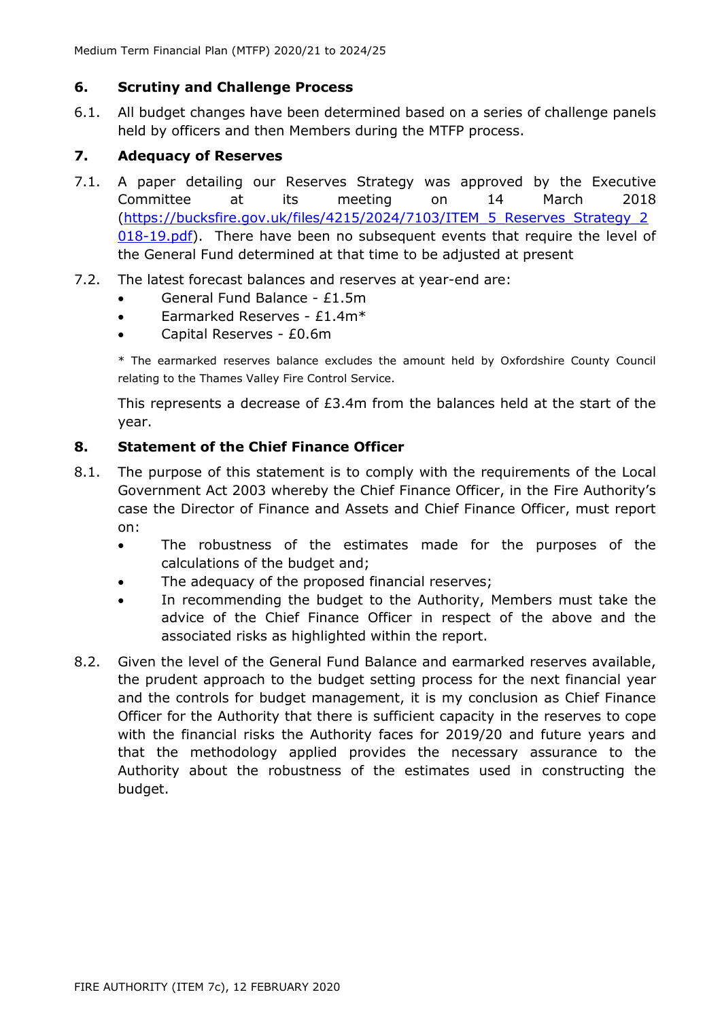#### **6. Scrutiny and Challenge Process**

6.1. All budget changes have been determined based on a series of challenge panels held by officers and then Members during the MTFP process.

# **7. Adequacy of Reserves**

- 7.1. A paper detailing our Reserves Strategy was approved by the Executive Committee at its meeting on 14 March 2018 [\(https://bucksfire.gov.uk/files/4215/2024/7103/ITEM\\_5\\_Reserves\\_Strategy\\_2](https://bucksfire.gov.uk/files/4215/2024/7103/ITEM_5_Reserves_Strategy_2018-19.pdf) [018-19.pdf\)](https://bucksfire.gov.uk/files/4215/2024/7103/ITEM_5_Reserves_Strategy_2018-19.pdf). There have been no subsequent events that require the level of the General Fund determined at that time to be adjusted at present
- 7.2. The latest forecast balances and reserves at year-end are:
	- General Fund Balance £1.5m
	- Earmarked Reserves £1.4m\*
	- Capital Reserves £0.6m

\* The earmarked reserves balance excludes the amount held by Oxfordshire County Council relating to the Thames Valley Fire Control Service.

This represents a decrease of £3.4m from the balances held at the start of the year.

#### **8. Statement of the Chief Finance Officer**

- 8.1. The purpose of this statement is to comply with the requirements of the Local Government Act 2003 whereby the Chief Finance Officer, in the Fire Authority's case the Director of Finance and Assets and Chief Finance Officer, must report on:
	- The robustness of the estimates made for the purposes of the calculations of the budget and;
	- The adequacy of the proposed financial reserves;
	- In recommending the budget to the Authority, Members must take the advice of the Chief Finance Officer in respect of the above and the associated risks as highlighted within the report.
- 8.2. Given the level of the General Fund Balance and earmarked reserves available, the prudent approach to the budget setting process for the next financial year and the controls for budget management, it is my conclusion as Chief Finance Officer for the Authority that there is sufficient capacity in the reserves to cope with the financial risks the Authority faces for 2019/20 and future years and that the methodology applied provides the necessary assurance to the Authority about the robustness of the estimates used in constructing the budget.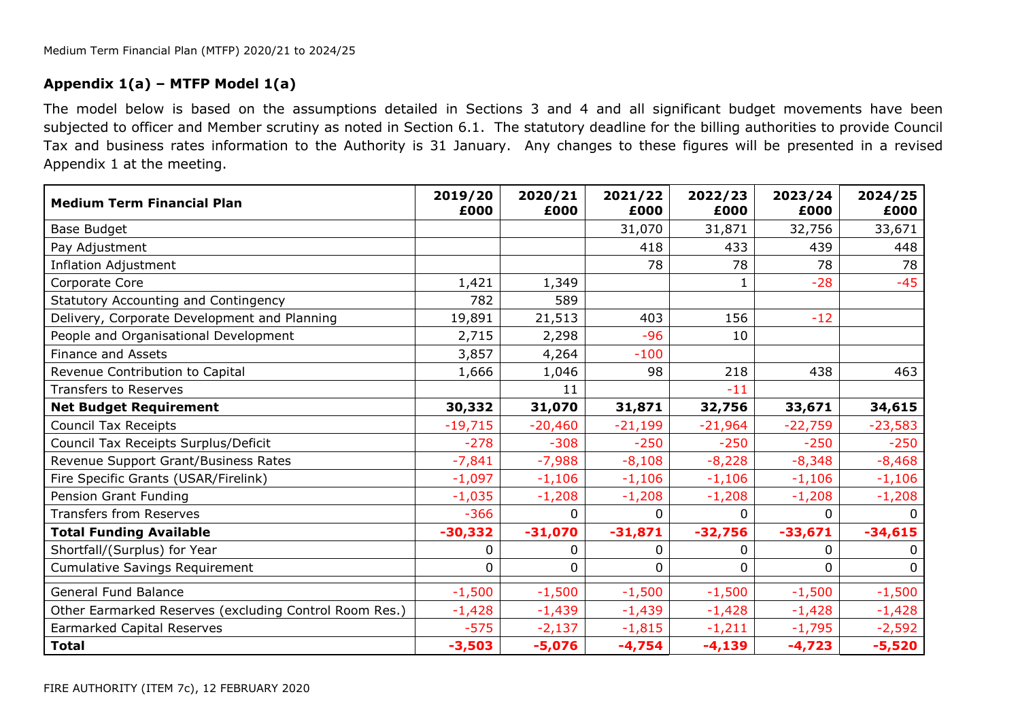# **Appendix 1(a) – MTFP Model 1(a)**

The model below is based on the assumptions detailed in Sections 3 and 4 and all significant budget movements have been subjected to officer and Member scrutiny as noted in Section 6.1. The statutory deadline for the billing authorities to provide Council Tax and business rates information to the Authority is 31 January. Any changes to these figures will be presented in a revised Appendix 1 at the meeting.

| <b>Medium Term Financial Plan</b>                      | 2019/20<br>£000 | 2020/21<br>£000 | 2021/22<br>£000 | 2022/23<br>£000 | 2023/24<br>£000 | 2024/25<br>£000 |
|--------------------------------------------------------|-----------------|-----------------|-----------------|-----------------|-----------------|-----------------|
| Base Budget                                            |                 |                 | 31,070          | 31,871          | 32,756          | 33,671          |
| Pay Adjustment                                         |                 |                 | 418             | 433             | 439             | 448             |
| <b>Inflation Adjustment</b>                            |                 |                 | 78              | 78              | 78              | 78              |
| Corporate Core                                         | 1,421           | 1,349           |                 |                 | $-28$           | $-45$           |
| Statutory Accounting and Contingency                   | 782             | 589             |                 |                 |                 |                 |
| Delivery, Corporate Development and Planning           | 19,891          | 21,513          | 403             | 156             | $-12$           |                 |
| People and Organisational Development                  | 2,715           | 2,298           | $-96$           | 10              |                 |                 |
| <b>Finance and Assets</b>                              | 3,857           | 4,264           | $-100$          |                 |                 |                 |
| Revenue Contribution to Capital                        | 1,666           | 1,046           | 98              | 218             | 438             | 463             |
| <b>Transfers to Reserves</b>                           |                 | 11              |                 | $-11$           |                 |                 |
| <b>Net Budget Requirement</b>                          | 30,332          | 31,070          | 31,871          | 32,756          | 33,671          | 34,615          |
| <b>Council Tax Receipts</b>                            | $-19,715$       | $-20,460$       | $-21,199$       | $-21,964$       | $-22,759$       | $-23,583$       |
| Council Tax Receipts Surplus/Deficit                   | $-278$          | $-308$          | $-250$          | $-250$          | $-250$          | $-250$          |
| Revenue Support Grant/Business Rates                   | $-7,841$        | $-7,988$        | $-8,108$        | $-8,228$        | $-8,348$        | $-8,468$        |
| Fire Specific Grants (USAR/Firelink)                   | $-1,097$        | $-1,106$        | $-1,106$        | $-1,106$        | $-1,106$        | $-1,106$        |
| Pension Grant Funding                                  | $-1,035$        | $-1,208$        | $-1,208$        | $-1,208$        | $-1,208$        | $-1,208$        |
| <b>Transfers from Reserves</b>                         | $-366$          | 0               | 0               | 0               | 0               | <sup>0</sup>    |
| <b>Total Funding Available</b>                         | $-30,332$       | $-31,070$       | $-31,871$       | $-32,756$       | $-33,671$       | $-34,615$       |
| Shortfall/(Surplus) for Year                           | 0               | 0               | 0               | 0               | 0               | 0               |
| <b>Cumulative Savings Requirement</b>                  | 0               | 0               | 0               | 0               | 0               | 0               |
| <b>General Fund Balance</b>                            | $-1,500$        | $-1,500$        | $-1,500$        | $-1,500$        | $-1,500$        | $-1,500$        |
| Other Earmarked Reserves (excluding Control Room Res.) | $-1,428$        | $-1,439$        | $-1,439$        | $-1,428$        | $-1,428$        | $-1,428$        |
| <b>Earmarked Capital Reserves</b>                      | $-575$          | $-2,137$        | $-1,815$        | $-1,211$        | $-1,795$        | $-2,592$        |
| <b>Total</b>                                           | $-3,503$        | $-5,076$        | $-4,754$        | $-4,139$        | $-4,723$        | $-5,520$        |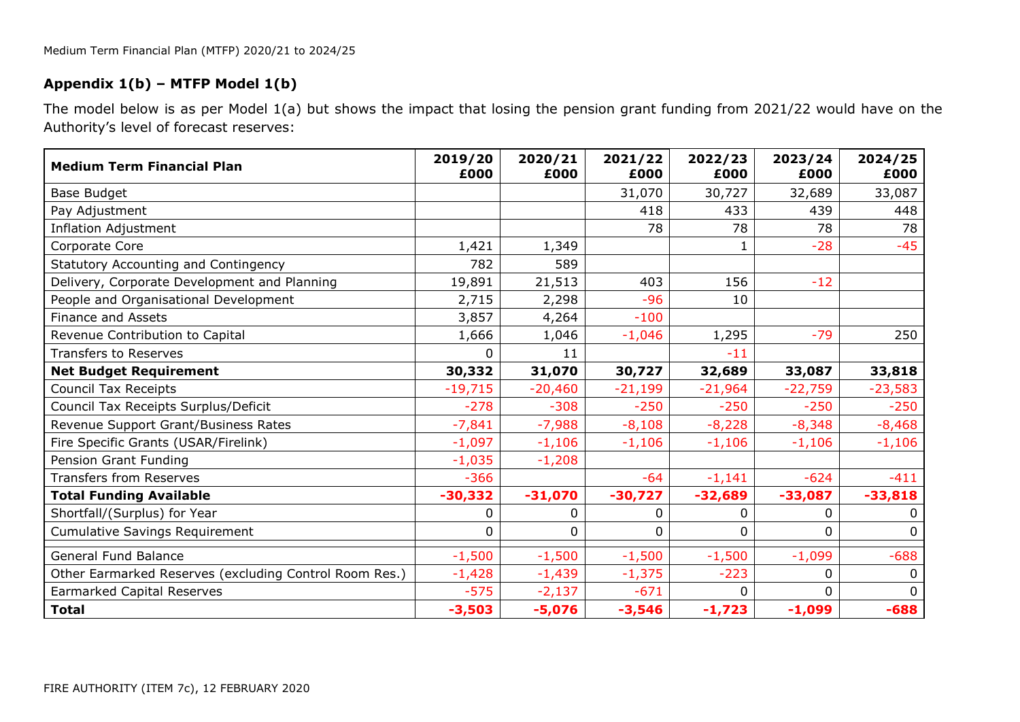# **Appendix 1(b) – MTFP Model 1(b)**

The model below is as per Model 1(a) but shows the impact that losing the pension grant funding from 2021/22 would have on the Authority's level of forecast reserves:

| <b>Medium Term Financial Plan</b>                      | 2019/20<br>£000 | 2020/21<br>£000 | 2021/22<br>£000 | 2022/23<br>£000 | 2023/24<br>£000 | 2024/25<br>£000 |
|--------------------------------------------------------|-----------------|-----------------|-----------------|-----------------|-----------------|-----------------|
| Base Budget                                            |                 |                 | 31,070          | 30,727          | 32,689          | 33,087          |
| Pay Adjustment                                         |                 |                 | 418             | 433             | 439             | 448             |
| <b>Inflation Adjustment</b>                            |                 |                 | 78              | 78              | 78              | 78              |
| Corporate Core                                         | 1,421           | 1,349           |                 |                 | $-28$           | $-45$           |
| Statutory Accounting and Contingency                   | 782             | 589             |                 |                 |                 |                 |
| Delivery, Corporate Development and Planning           | 19,891          | 21,513          | 403             | 156             | $-12$           |                 |
| People and Organisational Development                  | 2,715           | 2,298           | $-96$           | 10              |                 |                 |
| <b>Finance and Assets</b>                              | 3,857           | 4,264           | $-100$          |                 |                 |                 |
| Revenue Contribution to Capital                        | 1,666           | 1,046           | $-1,046$        | 1,295           | $-79$           | 250             |
| <b>Transfers to Reserves</b>                           | 0               | 11              |                 | $-11$           |                 |                 |
| <b>Net Budget Requirement</b>                          | 30,332          | 31,070          | 30,727          | 32,689          | 33,087          | 33,818          |
| <b>Council Tax Receipts</b>                            | $-19,715$       | $-20,460$       | $-21,199$       | $-21,964$       | $-22,759$       | $-23,583$       |
| Council Tax Receipts Surplus/Deficit                   | $-278$          | $-308$          | $-250$          | $-250$          | $-250$          | $-250$          |
| Revenue Support Grant/Business Rates                   | $-7,841$        | $-7,988$        | $-8,108$        | $-8,228$        | $-8,348$        | $-8,468$        |
| Fire Specific Grants (USAR/Firelink)                   | $-1,097$        | $-1,106$        | $-1,106$        | $-1,106$        | $-1,106$        | $-1,106$        |
| Pension Grant Funding                                  | $-1,035$        | $-1,208$        |                 |                 |                 |                 |
| <b>Transfers from Reserves</b>                         | $-366$          |                 | $-64$           | $-1,141$        | $-624$          | $-411$          |
| <b>Total Funding Available</b>                         | $-30,332$       | $-31,070$       | $-30,727$       | $-32,689$       | $-33,087$       | $-33,818$       |
| Shortfall/(Surplus) for Year                           | 0               | 0               | 0               | 0               | 0               | 0               |
| <b>Cumulative Savings Requirement</b>                  | 0               | 0               | 0               | 0               | 0               | 0               |
| <b>General Fund Balance</b>                            | $-1,500$        | $-1,500$        | $-1,500$        | $-1,500$        | $-1,099$        | $-688$          |
| Other Earmarked Reserves (excluding Control Room Res.) | $-1,428$        | $-1,439$        | $-1,375$        | $-223$          | 0               | $\mathbf 0$     |
| <b>Earmarked Capital Reserves</b>                      | $-575$          | $-2,137$        | $-671$          | 0               | 0               | 0               |
| <b>Total</b>                                           | $-3,503$        | $-5,076$        | $-3,546$        | $-1,723$        | $-1,099$        | $-688$          |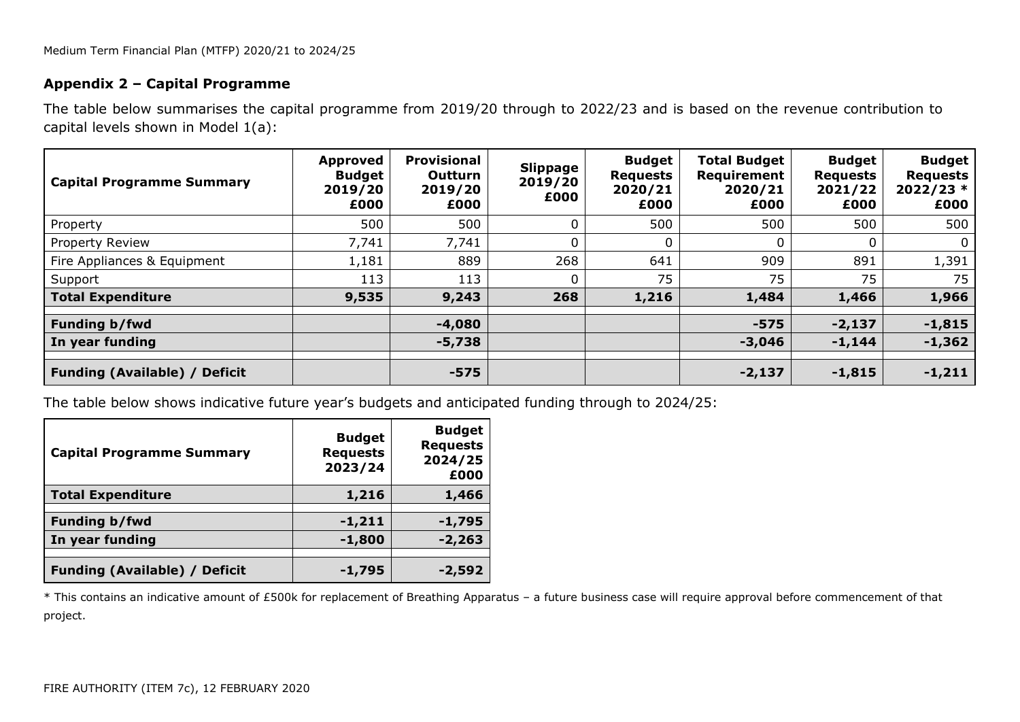#### **Appendix 2 – Capital Programme**

The table below summarises the capital programme from 2019/20 through to 2022/23 and is based on the revenue contribution to capital levels shown in Model 1(a):

| <b>Capital Programme Summary</b>     | Approved<br><b>Budget</b><br>2019/20<br>£000 | <b>Provisional</b><br>Outturn<br>2019/20<br>£000 | <b>Slippage</b><br>2019/20<br>£000 | <b>Budget</b><br><b>Requests</b><br>2020/21<br>£000 | <b>Total Budget</b><br>Requirement<br>2020/21<br>£000 | <b>Budget</b><br><b>Requests</b><br>2021/22<br>£000 | <b>Budget</b><br><b>Requests</b><br>$2022/23*$<br>£000 |
|--------------------------------------|----------------------------------------------|--------------------------------------------------|------------------------------------|-----------------------------------------------------|-------------------------------------------------------|-----------------------------------------------------|--------------------------------------------------------|
| Property                             | 500                                          | 500                                              | $\mathbf{0}$                       | 500                                                 | 500                                                   | 500                                                 | 500                                                    |
| Property Review                      | 7,741                                        | 7,741                                            | $\mathbf{0}$                       | 0                                                   |                                                       |                                                     | $\mathbf{0}$                                           |
| Fire Appliances & Equipment          | 1,181                                        | 889                                              | 268                                | 641                                                 | 909                                                   | 891                                                 | 1,391                                                  |
| Support                              | 113                                          | 113                                              | $\mathbf{0}$                       | 75                                                  | 75                                                    | 75                                                  | 75                                                     |
| <b>Total Expenditure</b>             | 9,535                                        | 9,243                                            | 268                                | 1,216                                               | 1,484                                                 | 1,466                                               | 1,966                                                  |
| Funding b/fwd                        |                                              | $-4,080$                                         |                                    |                                                     | $-575$                                                | $-2,137$                                            | $-1,815$                                               |
| In year funding                      |                                              | $-5,738$                                         |                                    |                                                     | $-3,046$                                              | $-1,144$                                            | $-1,362$                                               |
| <b>Funding (Available) / Deficit</b> |                                              | $-575$                                           |                                    |                                                     | $-2,137$                                              | $-1,815$                                            | $-1,211$                                               |

The table below shows indicative future year's budgets and anticipated funding through to 2024/25:

| <b>Capital Programme Summary</b>     | <b>Budget</b><br><b>Requests</b><br>2023/24 | <b>Budget</b><br><b>Requests</b><br>2024/25<br>£000 |
|--------------------------------------|---------------------------------------------|-----------------------------------------------------|
| <b>Total Expenditure</b>             | 1,216                                       | 1,466                                               |
| <b>Funding b/fwd</b>                 | $-1,211$                                    | $-1,795$                                            |
| In year funding                      | $-1,800$                                    | $-2,263$                                            |
| <b>Funding (Available) / Deficit</b> | $-1,795$                                    | -2,592                                              |

\* This contains an indicative amount of £500k for replacement of Breathing Apparatus – a future business case will require approval before commencement of that project.